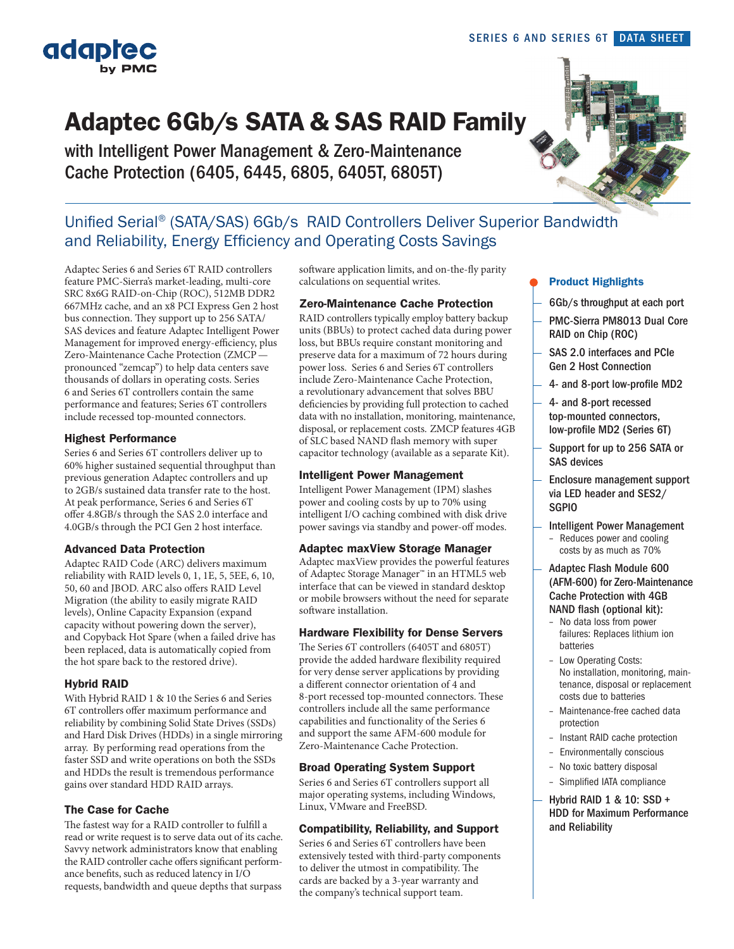

adaptec

# Adaptec 6Gb/s SATA & SAS RAID Family

with Intelligent Power Management & Zero-Maintenance Cache Protection (6405, 6445, 6805, 6405T, 6805T)

## Unified Serial® (SATA/SAS) 6Gb/s RAID Controllers Deliver Superior Bandwidth and Reliability, Energy Efficiency and Operating Costs Savings

Adaptec Series 6 and Series 6T RAID controllers feature PMC-Sierra's market-leading, multi-core SRC 8x6G RAID-on-Chip (ROC), 512MB DDR2 667MHz cache, and an x8 PCI Express Gen 2 host bus connection. They support up to 256 SATA/ SAS devices and feature Adaptec Intelligent Power Management for improved energy-efficiency, plus Zero-Maintenance Cache Protection (ZMCP pronounced "zemcap") to help data centers save thousands of dollars in operating costs. Series 6 and Series 6T controllers contain the same performance and features; Series 6T controllers include recessed top-mounted connectors.

#### Highest Performance

Series 6 and Series 6T controllers deliver up to 60% higher sustained sequential throughput than previous generation Adaptec controllers and up to 2GB/s sustained data transfer rate to the host. At peak performance, Series 6 and Series 6T offer 4.8GB/s through the SAS 2.0 interface and 4.0GB/s through the PCI Gen 2 host interface.

#### Advanced Data Protection

Adaptec RAID Code (ARC) delivers maximum reliability with RAID levels 0, 1, 1E, 5, 5EE, 6, 10, 50, 60 and JBOD. ARC also offers RAID Level Migration (the ability to easily migrate RAID levels), Online Capacity Expansion (expand capacity without powering down the server), and Copyback Hot Spare (when a failed drive has been replaced, data is automatically copied from the hot spare back to the restored drive).

#### Hybrid RAID

With Hybrid RAID 1 & 10 the Series 6 and Series 6T controllers offer maximum performance and reliability by combining Solid State Drives (SSDs) and Hard Disk Drives (HDDs) in a single mirroring array. By performing read operations from the faster SSD and write operations on both the SSDs and HDDs the result is tremendous performance gains over standard HDD RAID arrays.

#### The Case for Cache

The fastest way for a RAID controller to fulfill a read or write request is to serve data out of its cache. Savvy network administrators know that enabling the RAID controller cache offers significant performance benefits, such as reduced latency in I/O requests, bandwidth and queue depths that surpass

software application limits, and on-the-fly parity calculations on sequential writes.

#### Zero-Maintenance Cache Protection

RAID controllers typically employ battery backup units (BBUs) to protect cached data during power loss, but BBUs require constant monitoring and preserve data for a maximum of 72 hours during power loss. Series 6 and Series 6T controllers include Zero-Maintenance Cache Protection, a revolutionary advancement that solves BBU deficiencies by providing full protection to cached data with no installation, monitoring, maintenance, disposal, or replacement costs. ZMCP features 4GB of SLC based NAND flash memory with super capacitor technology (available as a separate Kit).

#### Intelligent Power Management

Intelligent Power Management (IPM) slashes power and cooling costs by up to 70% using intelligent I/O caching combined with disk drive power savings via standby and power-off modes.

#### Adaptec maxView Storage Manager

Adaptec maxView provides the powerful features of Adaptec Storage Manager™ in an HTML5 web interface that can be viewed in standard desktop or mobile browsers without the need for separate software installation.

#### Hardware Flexibility for Dense Servers

The Series 6T controllers (6405T and 6805T) provide the added hardware flexibility required for very dense server applications by providing a different connector orientation of 4 and 8-port recessed top-mounted connectors. These controllers include all the same performance capabilities and functionality of the Series 6 and support the same AFM-600 module for Zero-Maintenance Cache Protection.

#### Broad Operating System Support

Series 6 and Series 6T controllers support all major operating systems, including Windows, Linux, VMware and FreeBSD.

#### Compatibility, Reliability, and Support

Series 6 and Series 6T controllers have been extensively tested with third-party components to deliver the utmost in compatibility. The cards are backed by a 3-year warranty and the company's technical support team.

#### Product Highlights

- 6Gb/s throughput at each port
- PMC-Sierra PM8013 Dual Core RAID on Chip (ROC)
- SAS 2.0 interfaces and PCIe Gen 2 Host Connection
- 4- and 8-port low-profile MD2
- 4- and 8-port recessed top-mounted connectors, low-profile MD2 (Series 6T)
- Support for up to 256 SATA or SAS devices
- Enclosure management support via LED header and SES2/ SGPIO
- Intelligent Power Management
	- Reduces power and cooling costs by as much as 70%
- Adaptec Flash Module 600 (AFM-600) for Zero-Maintenance Cache Protection with 4GB
- NAND flash (optional kit): – No data loss from power failures: Replaces lithium ion batteries
- Low Operating Costs: No installation, monitoring, maintenance, disposal or replacement costs due to batteries
- Maintenance-free cached data protection
- Instant RAID cache protection
- Environmentally conscious
- No toxic battery disposal
- Simplified IATA compliance
- Hybrid RAID 1 & 10: SSD + HDD for Maximum Performance and Reliability